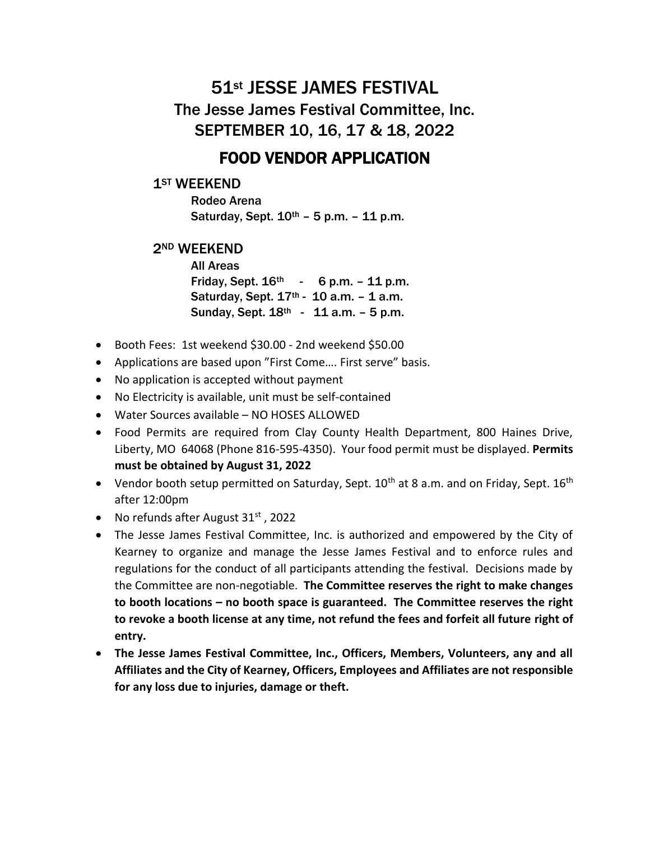# 51st JESSE JAMES FESTIVAL The Jesse James Festival Committee, Inc.

SEPTEMBER 10, 16, 17 & 18, 2022

## FOOD VENDOR APPLICATION

### 1<sup>ST</sup> WEEKEND

Rodeo Arena Saturday, Sept.  $10^{th}$  – 5 p.m. – 11 p.m.

#### 2ND WEEKEND

All Areas Friday, Sept.  $16^{th}$  - 6 p.m. - 11 p.m. Saturday, Sept.  $17^{th}$  - 10 a.m. - 1 a.m. Sunday, Sept.  $18^{th} - 11$  a.m.  $-5$  p.m.

- Booth Fees: 1st weekend \$30.00 2nd weekend \$50.00
- Applications are based upon "First Come…. First serve" basis.
- No application is accepted without payment
- No Electricity is available, unit must be self-contained
- Water Sources available NO HOSES ALLOWED
- Food Permits are required from Clay County Health Department, 800 Haines Drive, Liberty, MO 64068 (Phone 816-595-4350). Your food permit must be displayed. **Permits must be obtained by August 31, 2022**
- Vendor booth setup permitted on Saturday, Sept.  $10^{th}$  at 8 a.m. and on Friday, Sept.  $16^{th}$ after 12:00pm
- No refunds after August  $31<sup>st</sup>$ , 2022
- The Jesse James Festival Committee, Inc. is authorized and empowered by the City of Kearney to organize and manage the Jesse James Festival and to enforce rules and regulations for the conduct of all participants attending the festival. Decisions made by the Committee are non-negotiable. **The Committee reserves the right to make changes to booth locations – no booth space is guaranteed. The Committee reserves the right to revoke a booth license at any time, not refund the fees and forfeit all future right of entry.**
- **The Jesse James Festival Committee, Inc., Officers, Members, Volunteers, any and all Affiliates and the City of Kearney, Officers, Employees and Affiliates are not responsible for any loss due to injuries, damage or theft.**